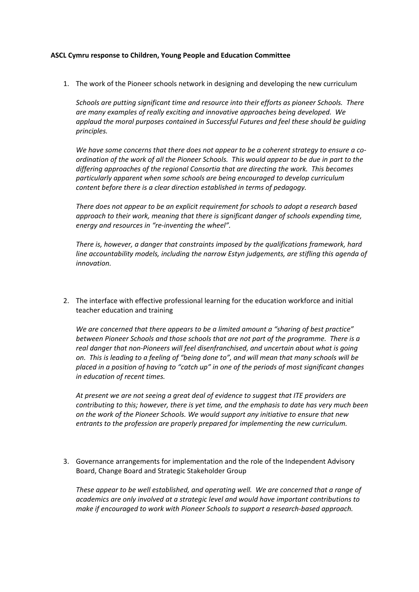## **ASCL Cymru response to Children, Young People and Education Committee**

1. The work of the Pioneer schools network in designing and developing the new curriculum

*Schools are putting significant time and resource into their efforts as pioneer Schools. There are many examples of really exciting and innovative approaches being developed. We applaud the moral purposes contained in Successful Futures and feel these should be guiding principles.*

*We have some concerns that there does not appear to be a coherent strategy to ensure a coordination of the work of all the Pioneer Schools. This would appear to be due in part to the differing approaches of the regional Consortia that are directing the work. This becomes particularly apparent when some schools are being encouraged to develop curriculum content before there is a clear direction established in terms of pedagogy.*

*There does not appear to be an explicit requirement for schools to adopt a research based approach to their work, meaning that there is significant danger of schools expending time, energy and resources in "re-inventing the wheel".*

*There is, however, a danger that constraints imposed by the qualifications framework, hard line accountability models, including the narrow Estyn judgements, are stifling this agenda of innovation.*

2. The interface with effective professional learning for the education workforce and initial teacher education and training

*We are concerned that there appears to be a limited amount a "sharing of best practice" between Pioneer Schools and those schools that are not part of the programme. There is a real danger that non-Pioneers will feel disenfranchised, and uncertain about what is going on. This is leading to a feeling of "being done to", and will mean that many schools will be placed in a position of having to "catch up" in one of the periods of most significant changes in education of recent times.*

*At present we are not seeing a great deal of evidence to suggest that ITE providers are contributing to this; however, there is yet time, and the emphasis to date has very much been on the work of the Pioneer Schools. We would support any initiative to ensure that new entrants to the profession are properly prepared for implementing the new curriculum.*

3. Governance arrangements for implementation and the role of the Independent Advisory Board, Change Board and Strategic Stakeholder Group

*These appear to be well established, and operating well. We are concerned that a range of academics are only involved at a strategic level and would have important contributions to make if encouraged to work with Pioneer Schools to support a research-based approach.*